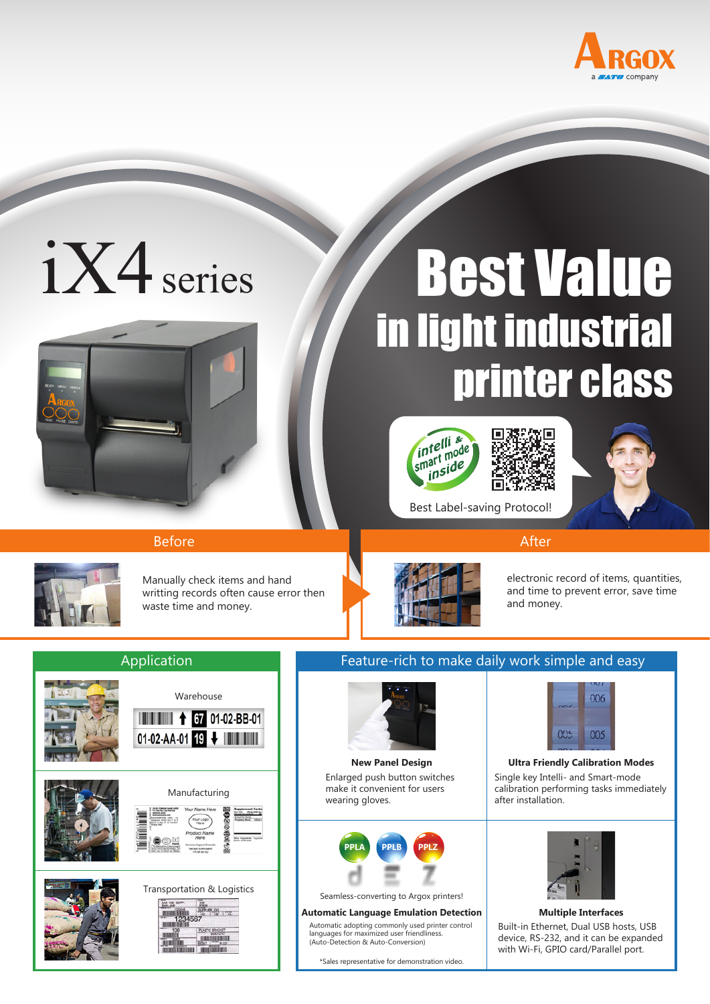

# iX4 series



# Best Value in light industrial printer class









Before After After Andrew March 2014 and the After

Manually check items and hand writting records often cause error then waste time and money.



electronic record of items, quantities, and time to prevent error, save time and money.

# Application



# Feature-rich to make daily work simple and easy

Best Label-saving Protocol!



Enlarged push button switches make it convenient for users wearing gloves.



Seamless-converting to Argox printers!

#### **Automatic Language Emulation Detection Multiple Interfaces**

Automatic adopting commonly used printer control languages for maximized user friendliness. (Auto-Detection & Auto-Conversion)

\*Sales representative for demonstration video.



#### Single key Intelli- and Smart-mode calibration performing tasks immediately after installation. **New Panel Design Ultra Friendly Calibration Modes**



# Built-in Ethernet, Dual USB hosts, USB device, RS-232, and it can be expanded with Wi-Fi, GPIO card/Parallel port.